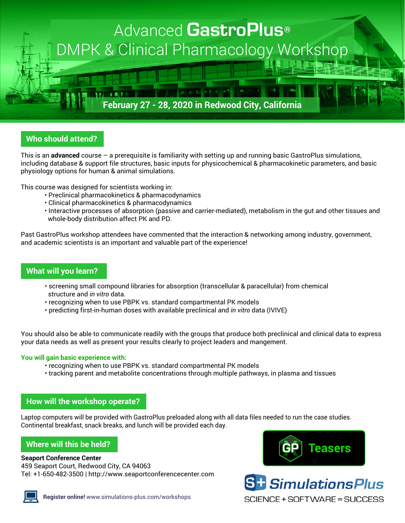

# **Who should attend?**

This is an **advanced** course – a prerequisite is familiarity with setting up and running basic GastroPlus simulations, including database & support file structures, basic inputs for physicochemical & pharmacokinetic parameters, and basic physiology options for human & animal simulations.

This course was designed for scientists working in:

- Preclinical pharmacokinetics & pharmacodynamics
- Clinical pharmacokinetics & pharmacodynamics
- Interactive processes of absorption (passive and carrier-mediated), metabolism in the gut and other tissues and whole-body distribution affect PK and PD.

Past GastroPlus workshop attendees have commented that the interaction & networking among industry, government, and academic scientists is an important and valuable part of the experience!

## **What will you learn?**

- screening small compound libraries for absorption (transcellular & paracellular) from chemical structure and *in vitro* data.
- recognizing when to use PBPK vs. standard compartmental PK models
- predicting first-in-human doses with available preclinical and *in vitro* data (IVIVE)

You should also be able to communicate readily with the groups that produce both preclinical and clinical data to express your data needs as well as present your results clearly to project leaders and mangement.

## **You will gain basic experience with:**

- recognizing when to use PBPK vs. standard compartmental PK models
- tracking parent and metabolite concentrations through multiple pathways, in plasma and tissues

## **How will the workshop operate?**

Laptop computers will be provided with GastroPlus preloaded along with all data files needed to run the case studies. Continental breakfast, snack breaks, and lunch will be provided each day.

## **Where will this be held?**

### **Seaport Conference Center**

459 Seaport Court, Redwood City, CA 94063 Tel: +1-650-482-3500 | <http://www.seaportconferencecenter.com>







**S<sup>+</sup>** SimulationsPlus